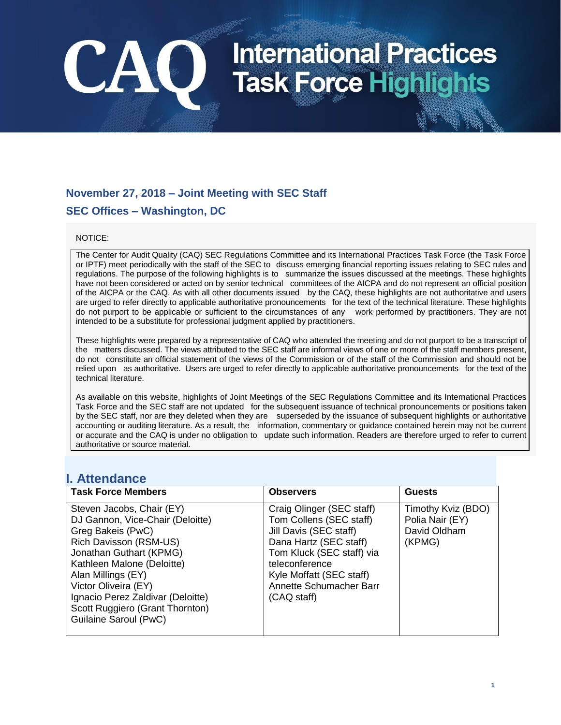### **November 27, 2018 – Joint Meeting with SEC Staff SEC Offices – Washington, DC**

CAO

#### NOTICE:

The Center for Audit Quality (CAQ) SEC Regulations Committee and its International Practices Task Force (the Task Force or IPTF) meet periodically with the staff of the SEC to discuss emerging financial reporting issues relating to SEC rules and regulations. The purpose of the following highlights is to summarize the issues discussed at the meetings. These highlights have not been considered or acted on by senior technical committees of the AICPA and do not represent an official position of the AICPA or the CAQ. As with all other documents issued by the CAQ, these highlights are not authoritative and users are urged to refer directly to applicable authoritative pronouncements for the text of the technical literature. These highlights do not purport to be applicable or sufficient to the circumstances of any work performed by practitioners. They are not intended to be a substitute for professional judgment applied by practitioners.

These highlights were prepared by a representative of CAQ who attended the meeting and do not purport to be a transcript of the matters discussed. The views attributed to the SEC staff are informal views of one or more of the staff members present, do not constitute an official statement of the views of the Commission or of the staff of the Commission and should not be relied upon as authoritative. Users are urged to refer directly to applicable authoritative pronouncements for the text of the technical literature.

As available on this website, highlights of Joint Meetings of the SEC Regulations Committee and its International Practices Task Force and the SEC staff are not updated for the subsequent issuance of technical pronouncements or positions taken by the SEC staff, nor are they deleted when they are superseded by the issuance of subsequent highlights or authoritative accounting or auditing literature. As a result, the information, commentary or guidance contained herein may not be current or accurate and the CAQ is under no obligation to update such information. Readers are therefore urged to refer to current authoritative or source material.

#### **I. Attendance**

| <b>Task Force Members</b>                                                                                                                                                                                                                                                                                            | <b>Observers</b>                                                                                                                                                                                                              | <b>Guests</b>                                                   |
|----------------------------------------------------------------------------------------------------------------------------------------------------------------------------------------------------------------------------------------------------------------------------------------------------------------------|-------------------------------------------------------------------------------------------------------------------------------------------------------------------------------------------------------------------------------|-----------------------------------------------------------------|
| Steven Jacobs, Chair (EY)<br>DJ Gannon, Vice-Chair (Deloitte)<br>Greg Bakeis (PwC)<br>Rich Davisson (RSM-US)<br>Jonathan Guthart (KPMG)<br>Kathleen Malone (Deloitte)<br>Alan Millings (EY)<br>Victor Oliveira (EY)<br>Ignacio Perez Zaldivar (Deloitte)<br>Scott Ruggiero (Grant Thornton)<br>Guilaine Saroul (PwC) | Craig Olinger (SEC staff)<br>Tom Collens (SEC staff)<br>Jill Davis (SEC staff)<br>Dana Hartz (SEC staff)<br>Tom Kluck (SEC staff) via<br>teleconference<br>Kyle Moffatt (SEC staff)<br>Annette Schumacher Barr<br>(CAQ staff) | Timothy Kviz (BDO)<br>Polia Nair (EY)<br>David Oldham<br>(KPMG) |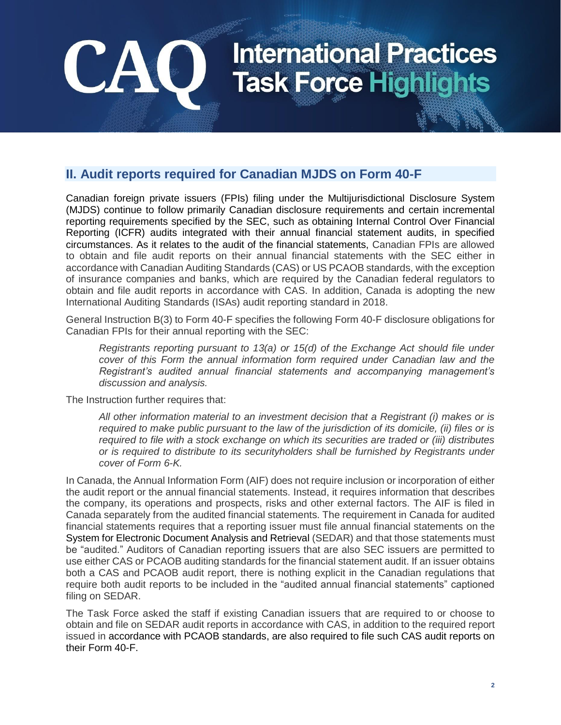### **II. Audit reports required for Canadian MJDS on Form 40-F**

Canadian foreign private issuers (FPIs) filing under the Multijurisdictional Disclosure System (MJDS) continue to follow primarily Canadian disclosure requirements and certain incremental reporting requirements specified by the SEC, such as obtaining Internal Control Over Financial Reporting (ICFR) audits integrated with their annual financial statement audits, in specified circumstances. As it relates to the audit of the financial statements, Canadian FPIs are allowed to obtain and file audit reports on their annual financial statements with the SEC either in accordance with Canadian Auditing Standards (CAS) or US PCAOB standards, with the exception of insurance companies and banks, which are required by the Canadian federal regulators to obtain and file audit reports in accordance with CAS. In addition, Canada is adopting the new International Auditing Standards (ISAs) audit reporting standard in 2018.

General Instruction B(3) to Form 40-F specifies the following Form 40-F disclosure obligations for Canadian FPIs for their annual reporting with the SEC:

*Registrants reporting pursuant to 13(a) or 15(d) of the Exchange Act should file under cover of this Form the annual information form required under Canadian law and the Registrant's audited annual financial statements and accompanying management's discussion and analysis.* 

The Instruction further requires that:

**CA** 

*All other information material to an investment decision that a Registrant (i) makes or is required to make public pursuant to the law of the jurisdiction of its domicile, (ii) files or is required to file with a stock exchange on which its securities are traded or (iii) distributes or is required to distribute to its securityholders shall be furnished by Registrants under cover of Form 6-K.*

In Canada, the Annual Information Form (AIF) does not require inclusion or incorporation of either the audit report or the annual financial statements. Instead, it requires information that describes the company, its operations and prospects, risks and other external factors. The AIF is filed in Canada separately from the audited financial statements. The requirement in Canada for audited financial statements requires that a reporting issuer must file annual financial statements on the System for Electronic Document Analysis and Retrieval (SEDAR) and that those statements must be "audited." Auditors of Canadian reporting issuers that are also SEC issuers are permitted to use either CAS or PCAOB auditing standards for the financial statement audit. If an issuer obtains both a CAS and PCAOB audit report, there is nothing explicit in the Canadian regulations that require both audit reports to be included in the "audited annual financial statements" captioned filing on SEDAR.

The Task Force asked the staff if existing Canadian issuers that are required to or choose to obtain and file on SEDAR audit reports in accordance with CAS, in addition to the required report issued in accordance with PCAOB standards, are also required to file such CAS audit reports on their Form 40-F.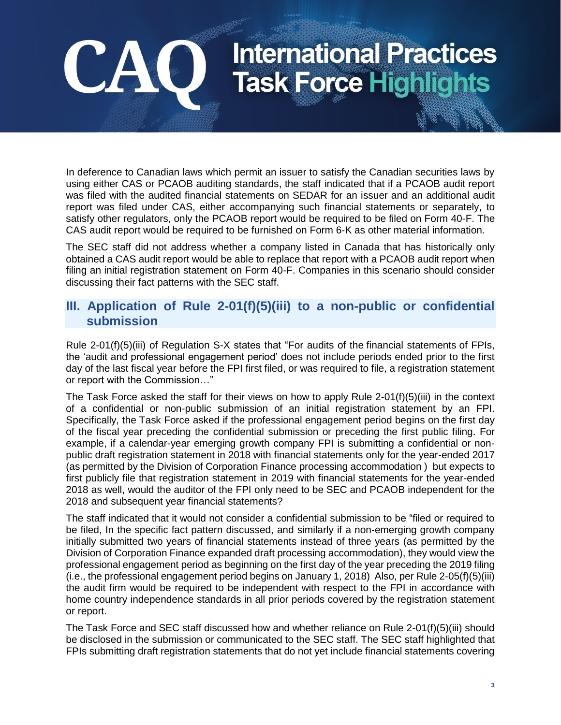In deference to Canadian laws which permit an issuer to satisfy the Canadian securities laws by using either CAS or PCAOB auditing standards, the staff indicated that if a PCAOB audit report was filed with the audited financial statements on SEDAR for an issuer and an additional audit report was filed under CAS, either accompanying such financial statements or separately, to satisfy other regulators, only the PCAOB report would be required to be filed on Form 40-F. The CAS audit report would be required to be furnished on Form 6-K as other material information.

**CA** 

The SEC staff did not address whether a company listed in Canada that has historically only obtained a CAS audit report would be able to replace that report with a PCAOB audit report when filing an initial registration statement on Form 40-F. Companies in this scenario should consider discussing their fact patterns with the SEC staff.

#### **III. Application of Rule 2-01(f)(5)(iii) to a non-public or confidential submission**

Rule 2-01(f)(5)(iii) of Regulation S-X states that "For audits of the financial statements of FPIs, the 'audit and professional engagement period' does not include periods ended prior to the first day of the last [fiscal year](https://www.law.cornell.edu/definitions/index.php?width=840&height=800&iframe=true&def_id=62dcb1ffe7435559868266a418b4e75c&term_occur=9&term_src=Title:17:Chapter:II:Part:210:Subjgrp:18:210.2-01) before the FPI first filed, or was required to file, a registration statement or report with the Commission…"

The Task Force asked the staff for their views on how to apply Rule 2-01(f)(5)(iii) in the context of a confidential or non-public submission of an initial registration statement by an FPI. Specifically, the Task Force asked if the professional engagement period begins on the first day of the fiscal year preceding the confidential submission or preceding the first public filing. For example, if a calendar-year emerging growth company FPI is submitting a confidential or nonpublic draft registration statement in 2018 with financial statements only for the year-ended 2017 (as permitted by the Division of Corporation Finance processing accommodation ) but expects to first publicly file that registration statement in 2019 with financial statements for the year-ended 2018 as well, would the auditor of the FPI only need to be SEC and PCAOB independent for the 2018 and subsequent year financial statements?

The staff indicated that it would not consider a confidential submission to be "filed or required to be filed, In the specific fact pattern discussed, and similarly if a non-emerging growth company initially submitted two years of financial statements instead of three years (as permitted by the Division of Corporation Finance expanded draft processing accommodation), they would view the professional engagement period as beginning on the first day of the year preceding the 2019 filing (i.e., the professional engagement period begins on January 1, 2018) Also, per Rule 2-05(f)(5)(iii) the audit firm would be required to be independent with respect to the FPI in accordance with home country independence standards in all prior periods covered by the registration statement or report.

The Task Force and SEC staff discussed how and whether reliance on Rule 2-01(f)(5)(iii) should be disclosed in the submission or communicated to the SEC staff. The SEC staff highlighted that FPIs submitting draft registration statements that do not yet include financial statements covering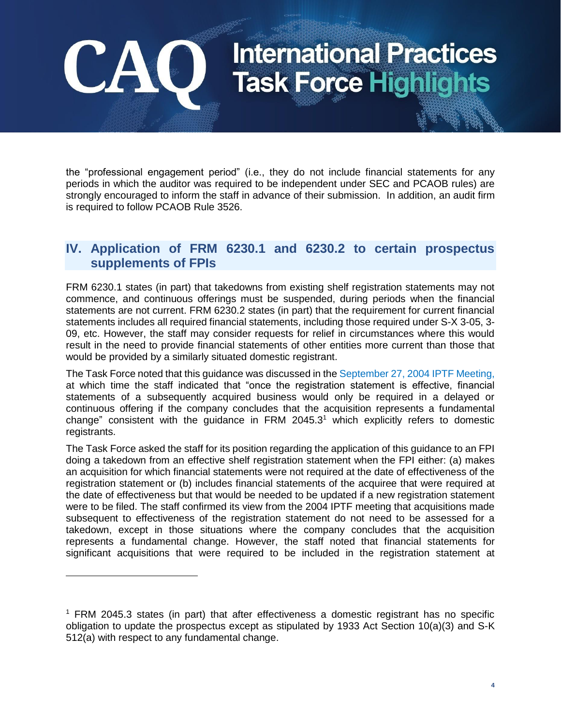the "professional engagement period" (i.e., they do not include financial statements for any periods in which the auditor was required to be independent under SEC and PCAOB rules) are strongly encouraged to inform the staff in advance of their submission. In addition, an audit firm is required to follow PCAOB Rule 3526.

#### **IV. Application of FRM 6230.1 and 6230.2 to certain prospectus supplements of FPIs**

FRM 6230.1 states (in part) that takedowns from existing shelf registration statements may not commence, and continuous offerings must be suspended, during periods when the financial statements are not current. FRM 6230.2 states (in part) that the requirement for current financial statements includes all required financial statements, including those required under S-X 3-05, 3- 09, etc. However, the staff may consider requests for relief in circumstances where this would result in the need to provide financial statements of other entities more current than those that would be provided by a similarly situated domestic registrant.

The Task Force noted that this guidance was discussed in the [September 27, 2004 IPTF Meeting,](https://www.thecaq.org/september-2004-iptf-joint-meeting-highlights) at which time the staff indicated that "once the registration statement is effective, financial statements of a subsequently acquired business would only be required in a delayed or continuous offering if the company concludes that the acquisition represents a fundamental change" consistent with the quidance in FRM 2045.3<sup>1</sup> which explicitly refers to domestic registrants.

The Task Force asked the staff for its position regarding the application of this guidance to an FPI doing a takedown from an effective shelf registration statement when the FPI either: (a) makes an acquisition for which financial statements were not required at the date of effectiveness of the registration statement or (b) includes financial statements of the acquiree that were required at the date of effectiveness but that would be needed to be updated if a new registration statement were to be filed. The staff confirmed its view from the 2004 IPTF meeting that acquisitions made subsequent to effectiveness of the registration statement do not need to be assessed for a takedown, except in those situations where the company concludes that the acquisition represents a fundamental change. However, the staff noted that financial statements for significant acquisitions that were required to be included in the registration statement at

**CA** 

 $1$  FRM 2045.3 states (in part) that after effectiveness a domestic registrant has no specific obligation to update the prospectus except as stipulated by 1933 Act Section 10(a)(3) and S-K 512(a) with respect to any fundamental change.